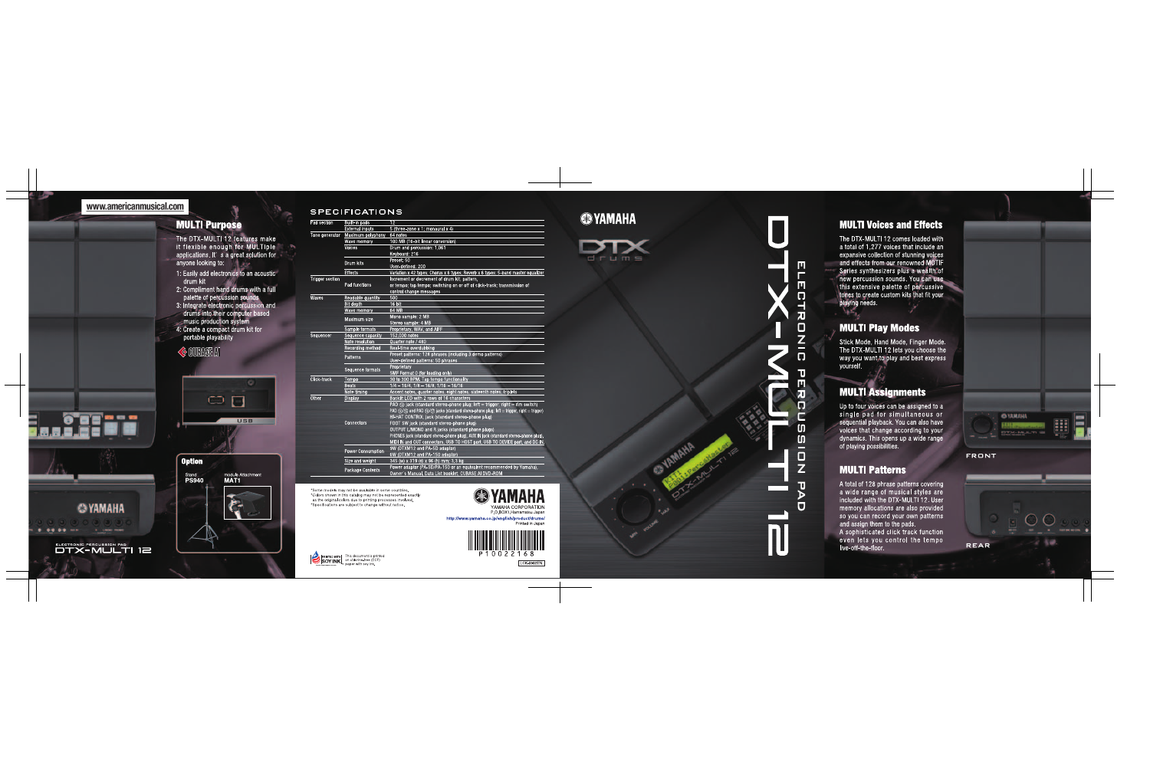#### www.americanmusical.com

---

**@YAMAHA** 

ELECTRONIC PERCUSSION PAD<br>DTX-MULTI 12

#### **MULTI Purpose**

The DTX-MULTI 12 features make<br>it flexible enough for MULTIple applications. It' s a great solution for anvone looking to: 1: Easily add electronics to an acoustic

- drum kit
- 2: Compliment hand drums with a full<br>palette of percussion sounds<br>3: Integrate electronic percussion and<br>drums into their computer based<br>music production system<br>4: Create a compact drum kit for<br>portable playability
- 

#### $\Diamond$  cubase an



#### **SPECIFICATIONS**

| d section    | Built-in pads            | 12                                                                                                  |
|--------------|--------------------------|-----------------------------------------------------------------------------------------------------|
|              | Externa inputs           | 5 (three-zone x 1; monaural x 4)                                                                    |
| ne generator | Maximum polyphony        | 64 notes                                                                                            |
|              | Wave memory              | 100 MB (16-bit linear conversion)                                                                   |
|              | Voices                   | Drum and percussion: 1.061                                                                          |
|              |                          | Keyboard: 216                                                                                       |
|              | Drum kits                | Preset: 50                                                                                          |
|              |                          | User defined: 200                                                                                   |
|              | Effects                  | Variation x 42 types; Chorus x 6 types; Reverb x 6 types: 5-band master equalizer                   |
| gger section | Pad functions            | Increment or decrement of drum kit, pattern,                                                        |
|              |                          | or tempo; tap tempo; switching on or off of click-track; transmission of                            |
|              |                          | control change messages                                                                             |
| aves         | Readable quantity        | 500                                                                                                 |
|              | <b>Bit depth</b>         | 16 bit                                                                                              |
|              | Wave memory              | 64 MB                                                                                               |
|              | Maximum size             | Mono sample: 2 MB                                                                                   |
|              |                          | Stereo sample: 4 MB                                                                                 |
|              | Sample formats           | Proprietary, WAV, and AIFF                                                                          |
| quencer      | Sequence capacity        | 152.000 notes                                                                                       |
|              | Note resolution          | Quarter note / 480                                                                                  |
|              | Recording method         | Real-time overdubbing                                                                               |
|              | Patterns                 | Preset patterns: 128 phrases (including 3 demo patterns)                                            |
|              |                          | User-defined patterns: 50 phrases                                                                   |
|              | Sequence formats         | Proprietary                                                                                         |
|              |                          | SMF Format 0 (for loading only)                                                                     |
| ck track     | Tempo                    | 30 to 300 BPM. Tap tempo functionality                                                              |
|              | <b>Beats</b>             | $1/4 - 16/4$ , $1/8 - 16/8$ , $1/16 - 16/16$                                                        |
|              | Note timing              | Accent notes, quarter notes, eight notes, sixteenth notes, triplets                                 |
| her          | <b>Display</b>           | Backlit LCD with 2 rows of 16 characters                                                            |
|              |                          | PAD $(3)$ jack (standard stereo-phone plug; left = trigger, right = rim switch)                     |
|              |                          | PAD $(4)/(6)$ and PAD $(6)/(7)$ jacks (standard stereo-phone plug; left = trigger, right = trigger) |
|              |                          | HI-HAT CONTROL jack (standard stereo-phone plug)                                                    |
|              | Connectors               | FOOT SW jack (standard stereo-phone plug)                                                           |
|              |                          | OUTPUT L/MONO and R jacks (standard phone plugs)                                                    |
|              |                          | PHONES jack (standard stereo-phone plug), AUX IN jack (standard stereo-phone plug),                 |
|              |                          | MIDI IN and OUT connectors, USB TO HOST port, USB TO DEVICE port, and DC IN.                        |
|              | <b>Power Consumption</b> | 9W (DTXM12 and PA-5D adaptor)                                                                       |
|              |                          | 6W (DTXM12 and PA-150 adaptor)                                                                      |
|              | Size and weight          | 345 (w) x 319 (d) x 96 (h) mm; 3.3 kg                                                               |
|              | Package Contents         | Power adaptor (PA-5D/PA-150 or an equivalent recommended by Yamaha),                                |
|              |                          | Owner's Manual, Data List booklet, CUBASE AI DVD-ROM                                                |

\*Some models may not be available in some countries. \*Colors shown in this catalog may not be represented exactly as the original colors due to printing processes involved. \*Specifications are subject to change without notice.

**SOY INK** This document is printed **SOY INK** on chlorine-free (ECF)



P.O.BOX1, Hamamatsu Japan http://www.yamaha.co.jp/english/product/drums/ Printed in Japan



LCK-0902EN



 $d$ rume



#### **MULTI Voices and Effects**

The DTX-MULTI 12 comes loaded with a total of 1.277 voices that include an expansive collection of stunning voices and effects from our renowned MOTIF Series synthesizers plus a wealth of new percussion sounds. You can use this extensive palette of percussive tones to create custom kits that fit your playing needs.

#### **MULTI Play Modes**

Stick Mode, Hand Mode, Finger Mode, The DTX-MULTI 12 lets you choose the way you want to play and best express vourself.

#### **MULTI Assignments**

Up to four voices can be assigned to a single pad for simultaneous or sequential playback. You can also have voices that change according to your dynamics. This opens up a wide range of playing possibilities.

#### **MULTI Patterns**

A total of 128 phrase patterns covering a wide range of musical styles are included with the DTX-MULTI 12, User memory allocations are also provided so you can record your own patterns and assign them to the pads.

A sophisticated click track function even lets you control the tempo live-off-the-floor.





**FRONT**